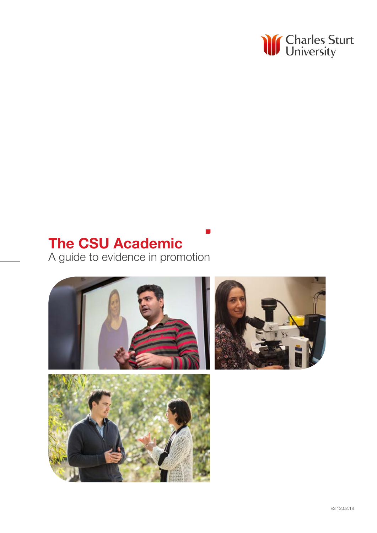

# The CSU Academic

A guide to evidence in promotion

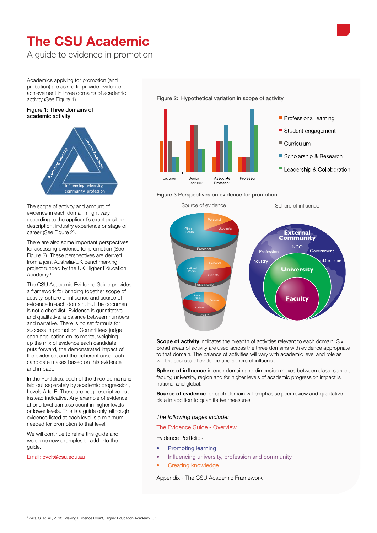# The CSU Academic

A guide to evidence in promotion

Academics applying for promotion (and probation) are asked to provide evidence of achievement in three domains of academic activity (See Figure 1).

### Figure 1: Three domains of academic activity



The scope of activity and amount of evidence in each domain might vary according to the applicant's exact position description, industry experience or stage of career (See Figure 2).

There are also some important perspectives for assessing evidence for promotion (See Figure 3). These perspectives are derived from a joint Australia/UK benchmarking project funded by the UK Higher Education Academy.1

The CSU Academic Evidence Guide provides a framework for bringing together scope of activity, sphere of influence and source of evidence in each domain, but the document is not a checklist. Evidence is quantitative and qualitative, a balance between numbers and narrative. There is no set formula for success in promotion. Committees judge each application on its merits, weighing up the mix of evidence each candidate puts forward, the demonstrated impact of the evidence, and the coherent case each candidate makes based on this evidence and impact.

In the Portfolios, each of the three domains is laid out separately by academic progression, Levels A to E. These are not prescriptive but instead indicative. Any example of evidence at one level can also count in higher levels or lower levels. This is a guide only, although evidence listed at each level is a minimum needed for promotion to that level.

We will continue to refine this guide and welcome new examples to add into the guide.

Email: pvclt@csu.edu.au

![](_page_1_Figure_11.jpeg)

![](_page_1_Figure_12.jpeg)

### Figure 3 Perspectives on evidence for promotion

![](_page_1_Figure_14.jpeg)

**Scope of activity** indicates the breadth of activities relevant to each domain. Six broad areas of activity are used across the three domains with evidence appropriate to that domain. The balance of activities will vary with academic level and role as will the sources of evidence and sphere of influence

Sphere of influence in each domain and dimension moves between class, school, faculty, university, region and for higher levels of academic progression impact is national and global.

Source of evidence for each domain will emphasise peer review and qualitative data in addition to quantitative measures.

### *The following pages include:*

### The Evidence Guide - Overview

Evidence Portfolios:

- Promoting learning
- Influencing university, profession and community
- Creating knowledge

Appendix - The CSU Academic Framework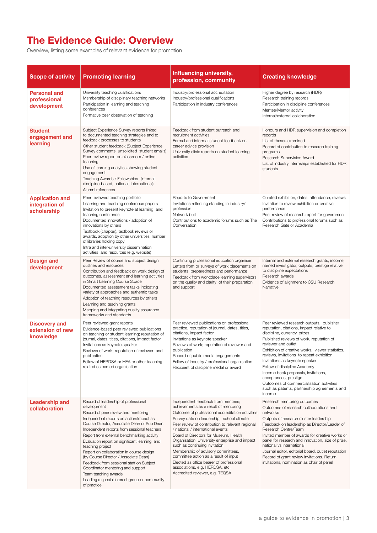## The Evidence Guide: Overview

Overview, listing some examples of relevant evidence for promotion

| <b>Scope of activity</b>                                | <b>Promoting learning</b>                                                                                                                                                                                                                                                                                                                                                                                                                                                                                                                                                                                            | Influencing university,<br>profession, community                                                                                                                                                                                                                                                                                                                                                                                                                                                                                                                                                   | <b>Creating knowledge</b>                                                                                                                                                                                                                                                                                                                                                                                                                                                                                                         |
|---------------------------------------------------------|----------------------------------------------------------------------------------------------------------------------------------------------------------------------------------------------------------------------------------------------------------------------------------------------------------------------------------------------------------------------------------------------------------------------------------------------------------------------------------------------------------------------------------------------------------------------------------------------------------------------|----------------------------------------------------------------------------------------------------------------------------------------------------------------------------------------------------------------------------------------------------------------------------------------------------------------------------------------------------------------------------------------------------------------------------------------------------------------------------------------------------------------------------------------------------------------------------------------------------|-----------------------------------------------------------------------------------------------------------------------------------------------------------------------------------------------------------------------------------------------------------------------------------------------------------------------------------------------------------------------------------------------------------------------------------------------------------------------------------------------------------------------------------|
| <b>Personal and</b><br>professional<br>development      | University teaching qualifications<br>Membership of disciplinary teaching networks<br>Participation in learning and teaching<br>conferences<br>Formative peer observation of teaching                                                                                                                                                                                                                                                                                                                                                                                                                                | Industry/professional accreditation<br>Industry/professional qualifications<br>Participation in industry conferences                                                                                                                                                                                                                                                                                                                                                                                                                                                                               | Higher degree by research (HDR)<br>Research training records<br>Participation in discipline conferences<br>Mentee/Mentor activity<br>Internal/external collaboration                                                                                                                                                                                                                                                                                                                                                              |
| <b>Student</b><br>engagement and<br>learning            | Subject Experience Survey reports linked<br>to documented teaching strategies and to<br>feedback processes to students<br>Other student feedback (Subject Experience<br>Survey comments, unsolicited student emails)<br>Peer review report on classroom / online<br>teaching<br>Use of learning analytics showing student<br>engagement<br>Teaching Awards / Fellowships (internal,<br>discipline-based, national, international)<br>Alumni references                                                                                                                                                               | Feedback from student outreach and<br>recruitment activities<br>Formal and informal student feedback on<br>career advice provision<br>University clinic reports on student learning<br>activities                                                                                                                                                                                                                                                                                                                                                                                                  | Honours and HDR supervision and completion<br>records<br>List of theses examined<br>Record of contribution to research training<br>programs<br>Research Supervision Award<br>List of industry internships established for HDR<br>students                                                                                                                                                                                                                                                                                         |
| <b>Application and</b><br>integration of<br>scholarship | Peer reviewed teaching portfolio<br>Learning and teaching conference papers<br>Invitation to present keynote at learning and<br>teaching conference<br>Documented innovations / adoption of<br>innovations by others<br>Textbook (chapter), textbook reviews or<br>awards, adoption by other universities, number<br>of libraries holding copy<br>Intra and inter-university dissemination<br>activities and resources (e.g. website)                                                                                                                                                                                | Reports to Government<br>Invitations reflecting standing in industry/<br>profession<br>Network built<br>Contributions to academic forums such as The<br>Conversation                                                                                                                                                                                                                                                                                                                                                                                                                               | Curated exhibition, dates, attendance, reviews<br>Invitation to review exhibition or creative<br>performance<br>Peer review of research report for government<br>Contributions to professional forums such as<br>Research Gate or Academia                                                                                                                                                                                                                                                                                        |
| <b>Design and</b><br>development                        | Peer Review of course and subject design<br>outlines and resources<br>Contribution and feedback on work design of<br>outcomes, assessment and learning activities<br>in Smart Learning Course Space<br>Documented assessment tasks indicating<br>variety of approaches and authentic tasks<br>Adoption of teaching resources by others<br>Learning and teaching grants<br>Mapping and integrating quality assurance<br>frameworks and standards                                                                                                                                                                      | Continuing professional education organiser<br>Letters from or surveys of work placements on<br>students' preparedness and performance<br>Feedback from workplace learning supervisors<br>on the quality and clarity of their preparation<br>and support                                                                                                                                                                                                                                                                                                                                           | Internal and external research grants, income,<br>named investigator, outputs, prestige relative<br>to discipline expectations<br>Research awards<br>Evidence of alignment to CSU Research<br>Narrative                                                                                                                                                                                                                                                                                                                           |
| <b>Discovery and</b><br>extension of new<br>knowledge   | Peer reviewed grant reports<br>Evidence-based peer reviewed publications<br>on teaching or student learning; reputation of<br>journal, dates, titles, citations, impact factor<br>Invitations as keynote speaker<br>Reviews of work; reputation of reviewer and<br>publication<br>Fellow of HERDSA or HEA or other teaching-<br>related esteemed organisation                                                                                                                                                                                                                                                        | Peer reviewed publications on professional<br>practice, reputation of journal, dates, titles,<br>citations, impact factor<br>Invitations as keynote speaker<br>Reviews of work; reputation of reviewer and<br>publication<br>Record of public media engagements<br>Fellow of industry / professional organisation<br>Recipient of discipline medal or award                                                                                                                                                                                                                                        | Peer reviewed research outputs, publisher<br>reputation, citations, impact relative to<br>discipline, currency, prizes<br>Published reviews of work, reputation of<br>reviewer and outlet<br>Exhibition of creative works, viewer statistics,<br>reviews, invitations to repeat exhibition<br>Invitations as keynote speaker<br>Fellow of discipline Academy<br>Income book proposals, invitations,<br>acceptances, prestige<br>Outcomes of commercialisation activities<br>such as patents, partnership agreements and<br>income |
| <b>Leadership and</b><br>collaboration                  | Record of leadership of professional<br>development<br>Record of peer review and mentoring<br>Independent reports on action/impact as<br>Course Director, Associate Dean or Sub Dean<br>Independent reports from sessional teachers<br>Report from external benchmarking activity<br>Evaluation report on significant learning and<br>teaching project<br>Report on collaboration in course design<br>(by Course Director / Associate Dean)<br>Feedback from sessional staff on Subject<br>Coordinator mentoring and support<br>Team teaching awards<br>Leading a special interest group or community<br>of practice | Independent feedback from mentees;<br>achievements as a result of mentoring<br>Outcome of professional accreditation activities<br>Survey data on leadership, school climate<br>Peer review of contribution to relevant regional<br>/ national / international events<br>Board of Directors for Museum, Health<br>Organisation, University enterprise and impact<br>such as continuing invitation<br>Membership of advisory committees,<br>committee action as a result of input<br>Elected as office bearer of professional<br>associations, e.g. HERDSA, etc.<br>Accredited reviewer, e.g. TEQSA | Research mentoring outcomes<br>Outcomes of research collaborations and<br>networks<br>Outputs of research cluster leadership<br>Feedback on leadership as Director/Leader of<br>Research Centre/Team<br>Invited member of awards for creative works or<br>panel for research and innovation, size of prize,<br>national vs international<br>Journal editor, editorial board, outlet reputation<br>Record of grant review invitations. Return<br>invitations, nomination as chair of panel                                         |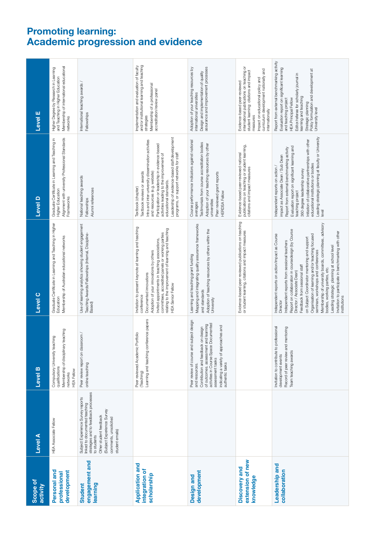### Promoting learning: Academic progression and evidence

| Scope of<br>activity                                    | Level A                                                                                                                                                                                                                       | Level B                                                                                                                                                                                                                                                                | Level C                                                                                                                                                                                                                                                                                                                                                                                                                                                                                                                                                                                  | Level D                                                                                                                                                                                                                                                                                                                                                                                | Level E                                                                                                                                                                                                                                                                                               |
|---------------------------------------------------------|-------------------------------------------------------------------------------------------------------------------------------------------------------------------------------------------------------------------------------|------------------------------------------------------------------------------------------------------------------------------------------------------------------------------------------------------------------------------------------------------------------------|------------------------------------------------------------------------------------------------------------------------------------------------------------------------------------------------------------------------------------------------------------------------------------------------------------------------------------------------------------------------------------------------------------------------------------------------------------------------------------------------------------------------------------------------------------------------------------------|----------------------------------------------------------------------------------------------------------------------------------------------------------------------------------------------------------------------------------------------------------------------------------------------------------------------------------------------------------------------------------------|-------------------------------------------------------------------------------------------------------------------------------------------------------------------------------------------------------------------------------------------------------------------------------------------------------|
| Personal and<br>development<br>professional             | <b>HEA Associate Fellow</b>                                                                                                                                                                                                   | teaching<br>Compulsory University teaching<br>Membership of disciplinary<br>qualifications<br><b>HEA Fellow</b><br>networks                                                                                                                                            | Graduate Certificate in Learning and Teaching in Higher<br>Education<br>Membership of Australian educational networks                                                                                                                                                                                                                                                                                                                                                                                                                                                                    | Alignment with university Professional Standards<br>Graduate Certificate in Learning and Teaching in<br>Higher Education<br>Frameworks                                                                                                                                                                                                                                                 | Membership of international educational<br>Higher Degree by Research in Learning<br>and Teaching in Higher Education<br>networks                                                                                                                                                                      |
| engagement and<br>learning<br><b>Student</b>            | strategies and to feedback processes<br>Subject Experience Survey reports<br>linked to documented teaching<br>(Subject Experience Survey<br>Other student feedback<br>comments, unsolicited<br>student emails)<br>to students | Peer review report on classroom /<br>online teaching                                                                                                                                                                                                                   | Use of learning analytics showing student engagement<br>Teaching Awards/Fellowships (Internal, Discipline-<br>Based)                                                                                                                                                                                                                                                                                                                                                                                                                                                                     | National teaching awards<br>Alumni references<br>Fellowships                                                                                                                                                                                                                                                                                                                           | International teaching awards /<br>Fellowships                                                                                                                                                                                                                                                        |
| <b>Application and</b><br>integration of<br>scholarship |                                                                                                                                                                                                                               | Learning and teaching conference papers<br>Peer reviewed Academic Portfolio<br>(Teaching)                                                                                                                                                                              | Invitation to present keynote at learning and teaching<br>relating to the improvement of learning and teaching<br>committees, accredited panels or working parties<br>Invited appointments in teaching associations,<br>Adoption of your innovations by others<br>Documented innovations<br><b>HEA Senior Fellow</b><br>conference                                                                                                                                                                                                                                                       | Leadership of evidence-based staff development<br>Intra and inter-university dissemination activities<br>Participation or leadership in evidence-based<br>programs, or support networks for staff<br>activities leading to the improvement of<br>and resources (e.g. website)<br>Textbook reviews or awards<br>educational standards.<br>Textbook (chapter)                            | and/or institutional learning and teaching<br>Implementation and evaluation of faculty<br>Membership of a professional<br>accreditation/review panel<br>strategies                                                                                                                                    |
| development<br>Design and                               |                                                                                                                                                                                                                               | Peer review of course and subject design<br>activities in Course Space Documented<br>of outcomes. assessment and learning<br>indicating a variety of approaches and<br>on design<br>Contribution and feedback<br>assessment tasks<br>authentic tasks<br>and resources. | Mapping and integrating quality assurance frameworks<br>Adoption of teaching resources by others within the<br>Learning and teaching grant funding<br>and standards<br>University                                                                                                                                                                                                                                                                                                                                                                                                        | Course performance indicators against national<br>Testimonials from course accreditation bodies<br>Adoption of your teaching resources by other<br>Peer reviewed grant reports<br><b>HERDSA Fellow</b><br>universities<br>averages                                                                                                                                                     | Adoption of your teaching resources by<br>assurance and improvement processes<br>Design and implementation of quality<br>international universities                                                                                                                                                   |
| extension of new<br>Discovery and<br>knowledge          |                                                                                                                                                                                                                               |                                                                                                                                                                                                                                                                        | Evidence-based peer reviewed publications on teaching<br>or student learning, citations and impact measures                                                                                                                                                                                                                                                                                                                                                                                                                                                                              | publications on teaching or student learning,<br>Evidence-based peer-reviewed national<br>citations and impact measures                                                                                                                                                                                                                                                                | international publications on teaching or<br>curriculum development nationally and<br>student learning: citations and impact<br>Impact on educational policy and<br>Evidence-based peer-reviewed<br>internationally<br>measures                                                                       |
| Leadership and<br>collaboration                         |                                                                                                                                                                                                                               | Invitation to contribute to professional<br>development events<br>mentoring<br>Record of peer review and<br>Team teaching awards                                                                                                                                       | Membership of university boards, committees, advisory<br>Report on collaboration in coursedesign (by Course<br>Invitation to participate in benchmarking with other<br>Independent reports on action/impact as Course<br>Organisation of learning and/or teaching focused<br>on Subject Coordinator mentoring and support<br>Independent reports from sessional teachers<br>Leading strategic planning at school level<br>seminars, workshops and conferences<br>Feedback from sessional staff<br>bodies, working parties, etc.<br>Director / Associate Dean)<br>nstitutions<br>Director | Leading strategic planning at faculty or University<br>Initiation of collaborative partnerships with other<br>Evaluation report on significant learning and<br>Report from external benchmarking activity<br>impact as Associate Dean / Sub Dean<br>educational institutions or bodies<br>Independent reports on action /<br>360 degree leadership survey<br>teaching project<br>level | Report from external benchmarking activity<br>Evaluation report on significant learning<br>Policy formulation and development at<br>Editor/referee for scholarly journal in<br>learning and teaching<br>and teaching project<br><b>HEA Principal Fellow</b><br>Strategic planning<br>University level |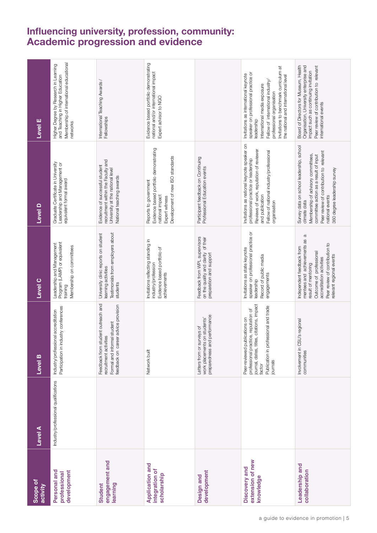## Influencing university, profession, community: Academic progression and evidence

| Scope of<br>activity                                    | <b>Level</b> A                       | Level B                                                                                                                                                                           | Level <sub>C</sub>                                                                                                                                                                                               | Level D                                                                                                                                                                                                                               | Level E                                                                                                                                                                                                                                                                       |
|---------------------------------------------------------|--------------------------------------|-----------------------------------------------------------------------------------------------------------------------------------------------------------------------------------|------------------------------------------------------------------------------------------------------------------------------------------------------------------------------------------------------------------|---------------------------------------------------------------------------------------------------------------------------------------------------------------------------------------------------------------------------------------|-------------------------------------------------------------------------------------------------------------------------------------------------------------------------------------------------------------------------------------------------------------------------------|
| Personal and<br>development<br>professional             | Industry/professional qualifications | Participation in industry conferences<br>Industry/professional accreditation                                                                                                      | Program (LAMP) or equivalent<br>Leadership and Management<br>Membership on committees<br>training                                                                                                                | Graduate Certificate in University<br>Leadership and Management or<br>equivalent formal award                                                                                                                                         | Membership of international educational<br>Higher Degree by Research in Learning<br>and Teaching in Higher Education<br>networks                                                                                                                                              |
| engagement and<br>learning<br>Student                   |                                      | Feedback from student outreach and<br>feedback on career advice provision<br>Formal and informal student<br>recruitment activities                                                | Testimonials from employers about<br>University clinic reports on student<br>learning activities<br>students                                                                                                     | recruitment within the Faculty and<br>Evidence of successful student<br>University at the national level<br>National teaching awards                                                                                                  | International Teaching Awards /<br>Fellowships                                                                                                                                                                                                                                |
| <b>Application and</b><br>integration of<br>scholarship |                                      | Network built                                                                                                                                                                     | Invitations reflecting standing in<br>Evidence based portfolio of<br>industry/profession<br>achievements                                                                                                         | Evidence based portfolio demonstrating<br>Development of new ISO standards<br>Reports to government<br>national impact<br>Expert witness                                                                                              | Evidence based portfolio demonstrating<br>national and/or international impact<br>Expert advisor to NGO                                                                                                                                                                       |
| development<br>Design and                               |                                      | preparedness and performance<br>work placements on students'<br>Letters from or surveys of                                                                                        | Feedback from WPL supervisors<br>on the quality and clarity of their<br>preparation and support                                                                                                                  | Participant feedback on Continuing<br>Professional Education events                                                                                                                                                                   |                                                                                                                                                                                                                                                                               |
| extension of new<br>Discovery and<br>knowledge          |                                      | journal, dates, titles, citations, impact<br>Publication in professional and trade<br>professional practice, reputation of<br>Peer-reviewed publications on<br>journals<br>factor | speaker on professional practice or<br>Invitations as state keynote<br>Record of public media<br>engagements<br>leadership                                                                                       | Invitations as national keynote speaker on<br>Reviews of work, reputation of reviewer<br>Fellow of national industry/professional<br>professional practice or leadership<br>and publication<br>organisation                           | Invitations to benchmark curriculum at<br>speaker on professional practice or<br>Invitations as international keynote<br>the national and international level<br>Fellow of international industry/<br>International media exposure<br>professional organisation<br>leadership |
| Leadership and<br>collaboration                         |                                      | Involvement in CSU's regional<br>communities                                                                                                                                      | $\varpi$<br>mentees and achievements as<br>Peer review of contribution to<br>Independent feedback from<br>Outcome of professional<br>relevant regional events<br>accreditation activities<br>result of mentoring | Survey data on school leadership, school<br>Peer review of contribution to relevant<br>Membership of advisory committees,<br>committee action as a result of input<br>360 degree leadership survey<br>national events<br>climate data | Board of Directors for Museum, Health<br>Organisation, University enterprise and<br>Peer review of contribution to relevant<br>impact such as continuing invitation<br>international events                                                                                   |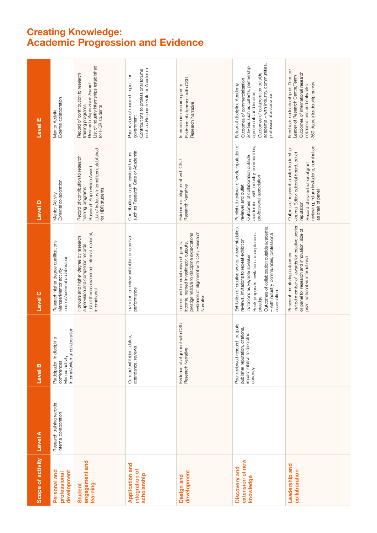## Creating Knowledge: Academic Progression and Evidence

| Scope of activity                                       | Level A                                             | Level B                                                                                                           | <b>Level C</b>                                                                                                                                                                                                                                                                                      | Level D                                                                                                                                                                                               | Level E                                                                                                                                                                                                                                      |
|---------------------------------------------------------|-----------------------------------------------------|-------------------------------------------------------------------------------------------------------------------|-----------------------------------------------------------------------------------------------------------------------------------------------------------------------------------------------------------------------------------------------------------------------------------------------------|-------------------------------------------------------------------------------------------------------------------------------------------------------------------------------------------------------|----------------------------------------------------------------------------------------------------------------------------------------------------------------------------------------------------------------------------------------------|
| Personal and<br>development<br>professional             | Research training records<br>Internal collaboration | Internal/external collaboration<br>Participation in discipline<br>Mentee activity<br>conferences                  | Research higher degree qualifications<br>Mentee/Mentor activity<br>Internal/external collaboration                                                                                                                                                                                                  | Mentor Activity<br>External collaboration                                                                                                                                                             | Mentor Activity<br>External collaboration                                                                                                                                                                                                    |
| engagement and<br>learning<br>Student                   |                                                     |                                                                                                                   | List of theses examined: internal, national,<br>Honours and higher degree by research<br>supervision and completion records<br>international                                                                                                                                                        | List of industry internships established<br>Record of contribution to research<br>Research Supervision Award<br>training programs<br>for HDR students                                                 | List of industry internships established<br>Record of contribution to research<br>Research Supervision Award<br>training programs<br>for HDR students                                                                                        |
| <b>Application and</b><br>integration of<br>scholarship |                                                     | gg.<br>Curated exhibition, dat<br>attendance, reviews                                                             | Invitation to review exhibition or creative<br>performance                                                                                                                                                                                                                                          | such as Research Gate or Academia<br>Contributions to professional forums                                                                                                                             | Contributions to professional forums<br>such as Research Gate or Academia<br>Peer review of research report for<br>government                                                                                                                |
| development<br>Design and                               |                                                     | with CSU<br>Evidence of alignment<br>Research Narrative                                                           | Evidence of alignment with CSU Research<br>prestige relative to discipline expectations<br>Internal and external research grants,<br>income, named investigator, outputs,<br>Narrative                                                                                                              | Evidence of alignment with CSU<br>Research Narrative                                                                                                                                                  | Evidence of alignment with CSU<br>International research grants<br>Research Narrative                                                                                                                                                        |
| extension of new<br>Discovery and<br>knowledge          |                                                     | Peer reviewed research outputs,<br>publisher reputation, citations,<br>impact relative to discipline,<br>currency | Exhibition of creative works, viewer statistics,<br>Outcomes of collaboration outside academia<br>- with industry, communities, professional<br>Book proposals, invitations, acceptances,<br>reviews, invitations to repeat exhibition<br>Invitations as keynote speaker<br>association<br>prestige | Published reviews of work, reputation of<br>academia - with industry, communities,<br>Outcomes of collaboration outside<br>professional association<br>reviewer and outlet                            | academia - with industry, communities,<br>activities such as patents, partnership<br>Outcomes of collaboration outside<br>Outcomes of commercialisation<br>Fellow of discipline Academy<br>agreements and income<br>professional association |
| Leadership and<br>collaboration                         |                                                     |                                                                                                                   | Invited member of awards for creative works<br>or panel for research and innovation, size of<br>Research mentoring outcomes<br>prize, national vs international                                                                                                                                     | reviewing, return invitations, nomination<br>as chair of panel<br>Outputs of research cluster leadership<br>Journal Editor, editorial board, outlet<br>Record of invited national grant<br>reputation | Feedback on leadership as Director/<br>Outcomes of international research<br>Leader of Research Centre/Team<br>360 degree leadership survey<br>collaborations and networks                                                                   |